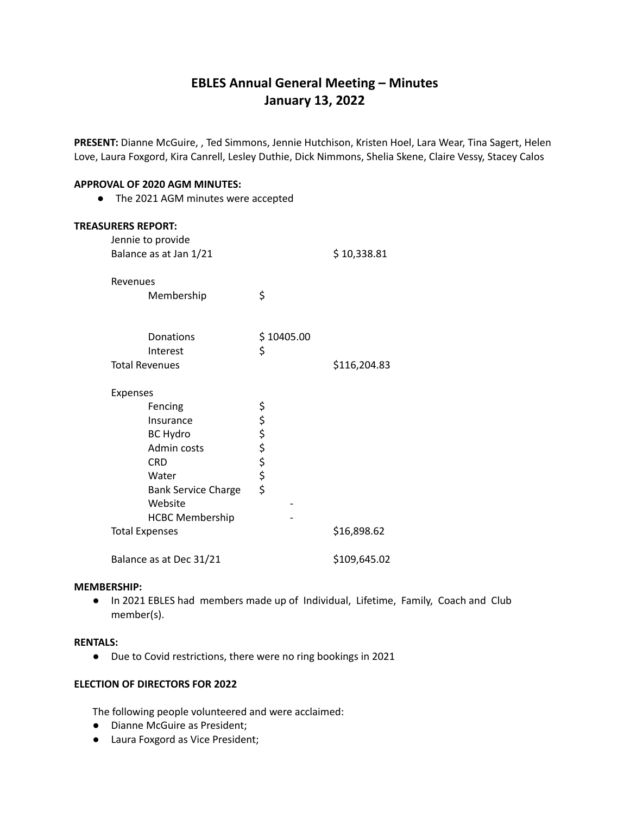# **EBLES Annual General Meeting – Minutes January 13, 2022**

**PRESENT:** Dianne McGuire, , Ted Simmons, Jennie Hutchison, Kristen Hoel, Lara Wear, Tina Sagert, Helen Love, Laura Foxgord, Kira Canrell, Lesley Duthie, Dick Nimmons, Shelia Skene, Claire Vessy, Stacey Calos

#### **APPROVAL OF 2020 AGM MINUTES:**

**●** The 2021 AGM minutes were accepted

| <b>TREASURERS REPORT:</b> |                            |            |              |
|---------------------------|----------------------------|------------|--------------|
|                           | Jennie to provide          |            |              |
|                           | Balance as at Jan 1/21     |            | \$10,338.81  |
|                           |                            |            |              |
|                           | Revenues                   |            |              |
|                           | Membership                 | \$         |              |
|                           |                            |            |              |
|                           | Donations                  | \$10405.00 |              |
|                           | Interest                   | \$         |              |
|                           | <b>Total Revenues</b>      |            | \$116,204.83 |
|                           |                            |            |              |
|                           | Expenses                   |            |              |
|                           | Fencing                    |            |              |
|                           | Insurance                  |            |              |
|                           | <b>BC Hydro</b>            |            |              |
|                           | Admin costs                |            |              |
|                           | <b>CRD</b>                 | ややややや      |              |
|                           | Water                      |            |              |
|                           | <b>Bank Service Charge</b> |            |              |
|                           | Website                    |            |              |
|                           | <b>HCBC Membership</b>     |            |              |
|                           | <b>Total Expenses</b>      |            | \$16,898.62  |
|                           | Balance as at Dec 31/21    |            | \$109,645.02 |

#### **MEMBERSHIP:**

**●** In 2021 EBLES had members made up of Individual, Lifetime, Family, Coach and Club member(s).

#### **RENTALS:**

● Due to Covid restrictions, there were no ring bookings in 2021

## **ELECTION OF DIRECTORS FOR 2022**

The following people volunteered and were acclaimed:

- **●** Dianne McGuire as President;
- **●** Laura Foxgord as Vice President;